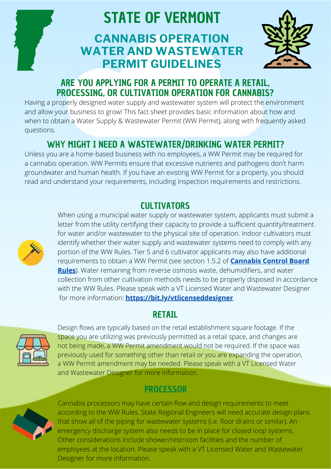

# STATE OF VERMONT

## **CANNABIS OPERATION WATER AND WASTEWATER PERMIT GUIDELINES**



## ARE YOU APPLYING FOR A PERMIT TO OPERATE A RETAIL, PROCESSING, OR CULTIVATION OPERATION FOR CANNABIS?

Having a properly designed water supply and wastewater system will protect the environment and allow your business to grow! This fact sheet provides basic information about how and when to obtain a Water Supply & Wastewater Permit (WW Permit), along with frequently asked questions.

## WHY MIGHT I NEED A WASTEWATER/DRINKING WATER PERMIT?

Unless you are a home-based business with no employees, a WW Permit may be required for a cannabis operation. WW Permits ensure that excessive nutrients and pathogens don't harm groundwater and human health. If you have an existing WW Permit for a property, you should read and understand your requirements, including inspection requirements and restrictions.

## CULTIVATORS



When using a municipal water supply or wastewater system, applicants must submit a letter from the utility certifying their capacity to provide a sufficient quantity/treatment for water and/or wastewater to the physical site of operation. Indoor cultivators must identify whether their water supply and wastewater systems need to comply with any portion of the WW Rules. Tier 5 and 6 cultivator applicants may also have additional requirements to obtain a WW Permit (see section 1.5.2 of **Cannabis Control Board Rules**[\). Water remaining from reverse osmosis waste, dehumidifiers, and water](https://ccb.vermont.gov/sites/ccb/files/2022-02/Final%20Proposed%20Rule%201%20-%20Licensing%20of%20Cannabis%20Establishments.pdf) collection from other cultivation methods needs to be properly disposed in accordance with the WW Rules. Please speak with a VT Licensed Water and Wastewater Designer for more information: **https://bit.ly/vtlicenseddesigner**.

## RETAIL



Design flows are typically based on the retail establishment square footage. If the space you are utilizing was previously permitted as a retail space, and changes are not being made, a WW Permit amendment would not be required. If the space was previously used for something other than retail or you are expanding the operation, a WW Permit amendment may be needed. Please speak with a VT Licensed Water and Wastewater Designer for more information.

## PROCESSOR



Cannabis processors may have certain flow and design requirements to meet according to the WW Rules. State Regional Engineers will need accurate design plans that show all of the piping for wastewater systems (i.e. floor drains or similar). An emergency discharge system also needs to be in place for closed loop systems. Other considerations include shower/restroom facilities and the number of employees at the location. Please speak with a VT Licensed Water and Wastewater Designer for more information.